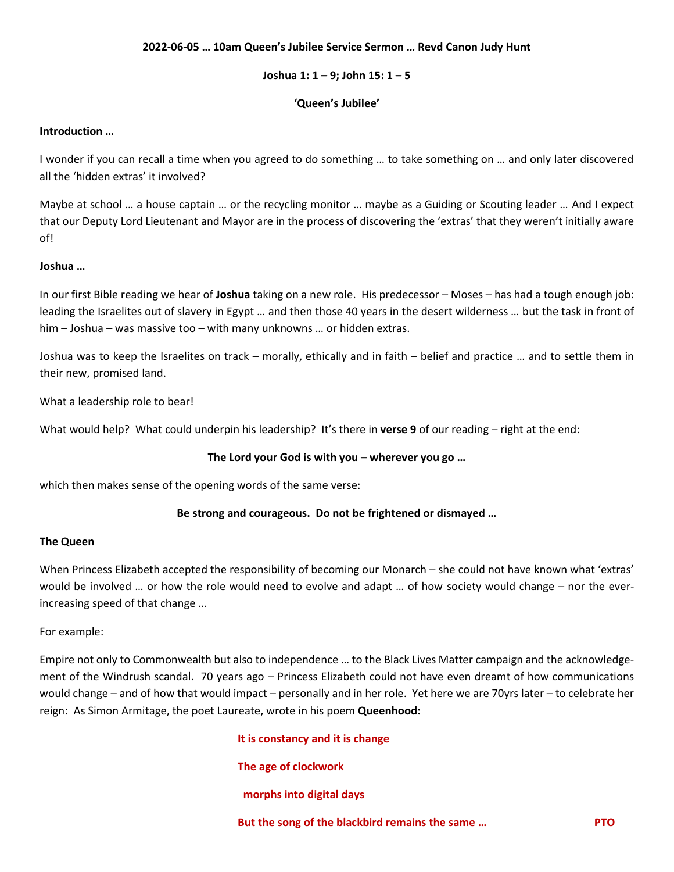## **2022-06-05 … 10am Queen's Jubilee Service Sermon … Revd Canon Judy Hunt**

## **Joshua 1: 1 – 9; John 15: 1 – 5**

# **'Queen's Jubilee'**

### **Introduction …**

I wonder if you can recall a time when you agreed to do something … to take something on … and only later discovered all the 'hidden extras' it involved?

Maybe at school … a house captain … or the recycling monitor … maybe as a Guiding or Scouting leader … And I expect that our Deputy Lord Lieutenant and Mayor are in the process of discovering the 'extras' that they weren't initially aware of!

# **Joshua …**

In our first Bible reading we hear of **Joshua** taking on a new role. His predecessor – Moses – has had a tough enough job: leading the Israelites out of slavery in Egypt … and then those 40 years in the desert wilderness … but the task in front of him – Joshua – was massive too – with many unknowns … or hidden extras.

Joshua was to keep the Israelites on track – morally, ethically and in faith – belief and practice … and to settle them in their new, promised land.

What a leadership role to bear!

What would help? What could underpin his leadership? It's there in **verse 9** of our reading – right at the end:

# **The Lord your God is with you – wherever you go …**

which then makes sense of the opening words of the same verse:

# **Be strong and courageous. Do not be frightened or dismayed …**

### **The Queen**

When Princess Elizabeth accepted the responsibility of becoming our Monarch – she could not have known what 'extras' would be involved … or how the role would need to evolve and adapt … of how society would change – nor the everincreasing speed of that change …

### For example:

Empire not only to Commonwealth but also to independence … to the Black Lives Matter campaign and the acknowledgement of the Windrush scandal. 70 years ago – Princess Elizabeth could not have even dreamt of how communications would change – and of how that would impact – personally and in her role. Yet here we are 70yrs later – to celebrate her reign: As Simon Armitage, the poet Laureate, wrote in his poem **Queenhood:**

**It is constancy and it is change**

# **The age of clockwork**

 **morphs into digital days**

**But the song of the blackbird remains the same … PTO**